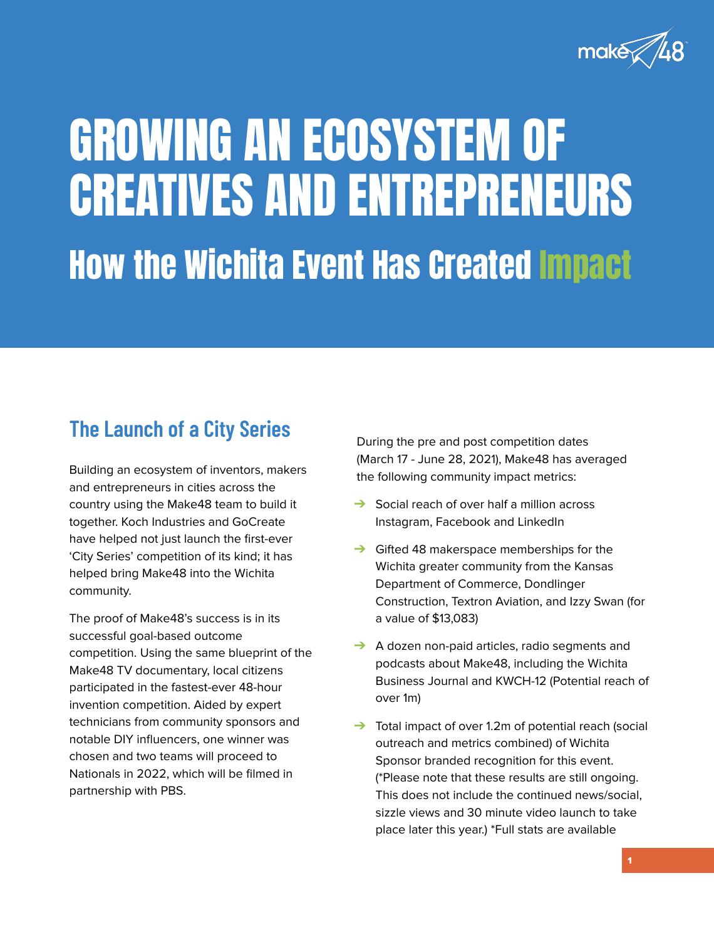

# GROWING AN ECOSYSTEM OF CREATIVES AND ENTREPRENEURS How the Wichita Event Has Created Impact

Building an ecosystem of inventors, makers and entrepreneurs in cities across the country using the Make48 team to build it together. Koch Industries and GoCreate have helped not just launch the first-ever 'City Series' competition of its kind; it has helped bring Make48 into the Wichita community.

The proof of Make48's success is in its successful goal-based outcome competition. Using the same blueprint of the Make48 TV documentary, local citizens participated in the fastest-ever 48-hour invention competition. Aided by expert technicians from community sponsors and notable DIY influencers, one winner was chosen and two teams will proceed to Nationals in 2022, which will be filmed in partnership with PBS.

- **→** Social reach of over half a million across Instagram, Facebook and LinkedIn
- ➔ Gifted 48 makerspace memberships for the Wichita greater community from the Kansas Department of Commerce, Dondlinger Construction, Textron Aviation, and Izzy Swan (for a value of \$13,083)
- → A dozen non-paid articles, radio segments and podcasts about Make48, including the Wichita Business Journal and KWCH-12 (Potential reach of over 1m)
- ➔ Total impact of over 1.2m of potential reach (social outreach and metrics combined) of Wichita Sponsor branded recognition for this event. (\*Please note that these results are still ongoing. This does not include the continued news/social, sizzle views and 30 minute video launch to take place later this year.) \*Full stats are available

During the pre and post competition dates (March 17 - June 28, 2021), Make48 has averaged

the following community impact metrics:

# **The Launch of a City Series**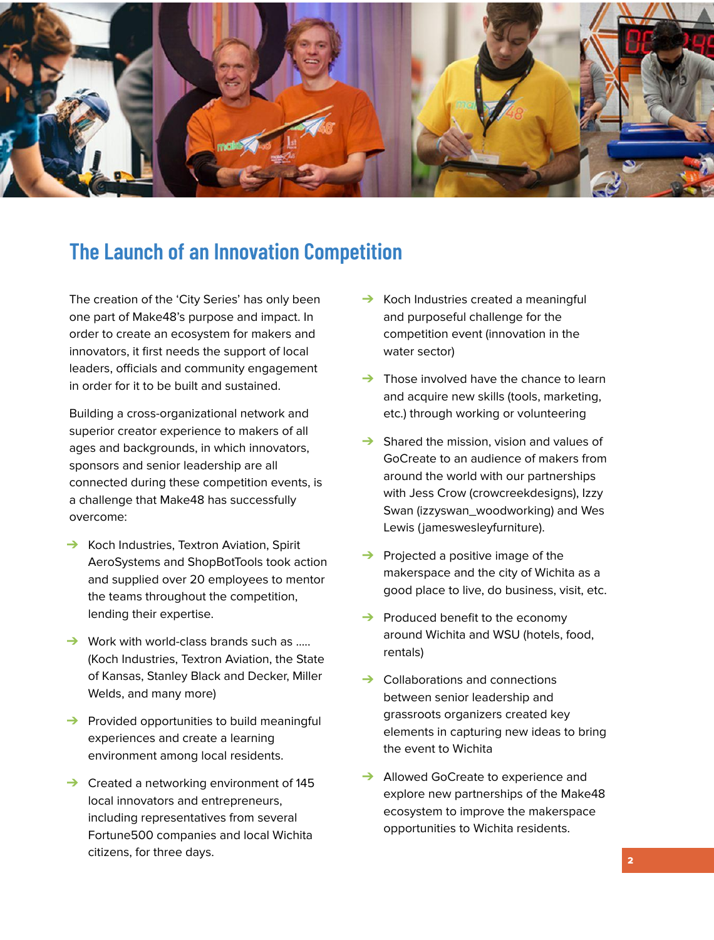The creation of the 'City Series' has only been one part of Make48's purpose and impact. In order to create an ecosystem for makers and innovators, it first needs the support of local leaders, officials and community engagement in order for it to be built and sustained.

Building a cross-organizational network and superior creator experience to makers of all ages and backgrounds, in which innovators, sponsors and senior leadership are all

- Koch Industries created a meaningful and purposeful challenge for the competition event (innovation in the water sector)
- ➔ Those involved have the chance to learn and acquire new skills (tools, marketing, etc.) through working or volunteering
- Shared the mission, vision and values of GoCreate to an audience of makers from
- connected during these competition events, is a challenge that Make48 has successfully overcome:
- **→** Koch Industries, Textron Aviation, Spirit AeroSystems and ShopBotTools took action and supplied over 20 employees to mentor the teams throughout the competition, lending their expertise.
- Work with world-class brands such as ..... (Koch Industries, Textron Aviation, the State of Kansas, Stanley Black and Decker, Miller Welds, and many more)
- ➔ Provided opportunities to build meaningful experiences and create a learning environment among local residents.
- ➔ Created a networking environment of 145 local innovators and entrepreneurs, including representatives from several Fortune500 companies and local Wichita citizens, for three days.
- around the world with our partnerships with Jess Crow (crowcreekdesigns), Izzy Swan (izzyswan\_woodworking) and Wes Lewis (jameswesleyfurniture).
- **→** Projected a positive image of the makerspace and the city of Wichita as a good place to live, do business, visit, etc.
- **→** Produced benefit to the economy around Wichita and WSU (hotels, food, rentals)
- **→** Collaborations and connections between senior leadership and grassroots organizers created key elements in capturing new ideas to bring the event to Wichita
- **→** Allowed GoCreate to experience and explore new partnerships of the Make48 ecosystem to improve the makerspace opportunities to Wichita residents.



### **The Launch of an Innovation Competition**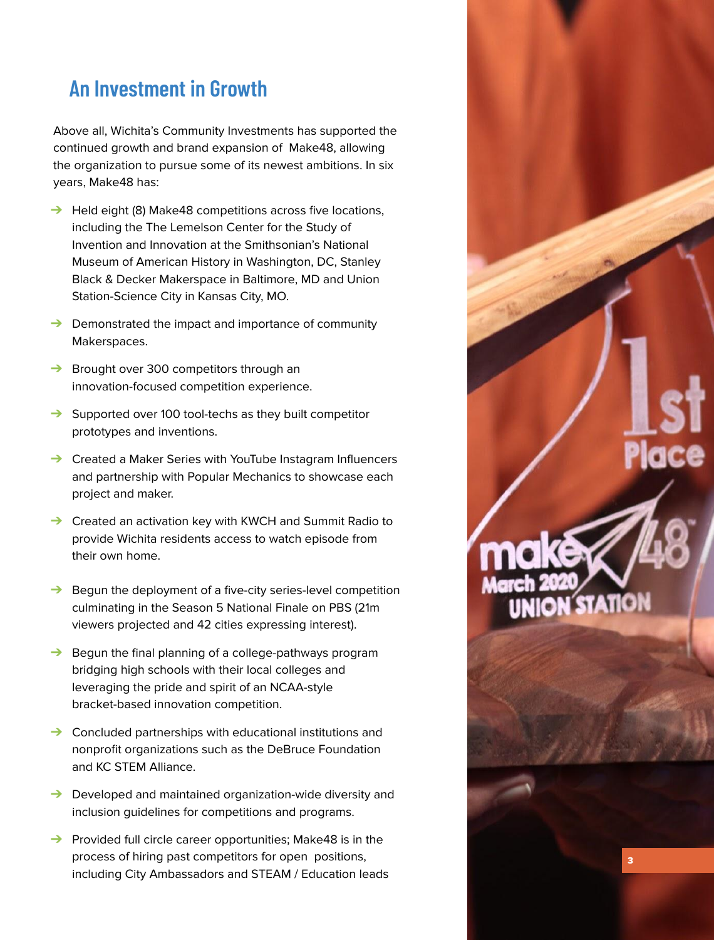Above all, Wichita's Community Investments has supported the continued growth and brand expansion of Make48, allowing the organization to pursue some of its newest ambitions. In six years, Make48 has:

- ➔ Held eight (8) Make48 competitions across five locations, including the The Lemelson Center for the Study of Invention and Innovation at the Smithsonian's National Museum of American History in Washington, DC, Stanley Black & Decker Makerspace in Baltimore, MD and Union Station-Science City in Kansas City, MO.
- ➔ Demonstrated the impact and importance of community Makerspaces.
- **→** Brought over 300 competitors through an innovation-focused competition experience.
- ➔ Supported over 100 tool-techs as they built competitor prototypes and inventions.
- ➔ Created a Maker Series with YouTube Instagram Influencers

and partnership with Popular Mechanics to showcase each project and maker.

- ➔ Created an activation key with KWCH and Summit Radio to provide Wichita residents access to watch episode from their own home.
- ➔ Begun the deployment of a five-city series-level competition culminating in the Season 5 National Finale on PBS (21m viewers projected and 42 cities expressing interest).
- ➔ Begun the final planning of a college-pathways program bridging high schools with their local colleges and leveraging the pride and spirit of an NCAA-style bracket-based innovation competition.
- ➔ Concluded partnerships with educational institutions and nonprofit organizations such as the DeBruce Foundation and KC STEM Alliance.
- ➔ Developed and maintained organization-wide diversity and inclusion guidelines for competitions and programs.
- → Provided full circle career opportunities; Make48 is in the process of hiring past competitors for open positions, including City Ambassadors and STEAM / Education leads

# **An Investment in Growth**